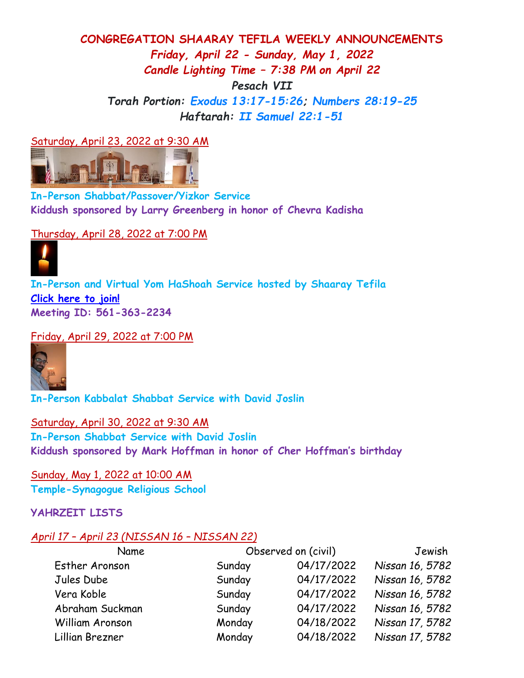## **CONGREGATION SHAARAY TEFILA WEEKLY ANNOUNCEMENTS** *Friday, April 22 - Sunday, May 1, 2022 Candle Lighting Time – 7:38 PM on April 22 Pesach VII Torah Portion: [Exodus 13:17-15:26;](https://www.sefaria.org/Exodus.13.17-15.26?lang=bi&aliyot=0) [Numbers 28:19-25](https://www.sefaria.org/Numbers.28.19-25?lang=bi&aliyot=0) Haftarah: [II Samuel 22:1-51](https://www.sefaria.org/II%20Samuel.22.1-51?lang=bi)*

Saturday, April 23, 2022 at 9:30 AM



**In-Person Shabbat/Passover/Yizkor Service Kiddush sponsored by Larry Greenberg in honor of Chevra Kadisha** 

Thursday, April 28, 2022 at 7:00 PM



**In-Person and Virtual Yom HaShoah Service hosted by Shaaray Tefila [Click here to join!](https://us02web.zoom.us/j/5613632234) Meeting ID: 561-363-2234**

Friday, April 29, 2022 at 7:00 PM



**In-Person Kabbalat Shabbat Service with David Joslin**

Saturday, April 30, 2022 at 9:30 AM **In-Person Shabbat Service with David Joslin Kiddush sponsored by Mark Hoffman in honor of Cher Hoffman's birthday**

Sunday, May 1, 2022 at 10:00 AM **Temple-Synagogue Religious School**

## **YAHRZEIT LISTS**

## *April 17 – April 23 (NISSAN 16 – NISSAN 22)*

| Name            | Observed on (civil) |            | Jewish          |  |
|-----------------|---------------------|------------|-----------------|--|
| Esther Aronson  | Sunday              | 04/17/2022 | Nissan 16, 5782 |  |
| Jules Dube      | Sunday              | 04/17/2022 | Nissan 16, 5782 |  |
| Vera Koble      | Sunday              | 04/17/2022 | Nissan 16, 5782 |  |
| Abraham Suckman | Sunday              | 04/17/2022 | Nissan 16, 5782 |  |
| William Aronson | Monday              | 04/18/2022 | Nissan 17, 5782 |  |
| Lillian Brezner | Monday              | 04/18/2022 | Nissan 17, 5782 |  |